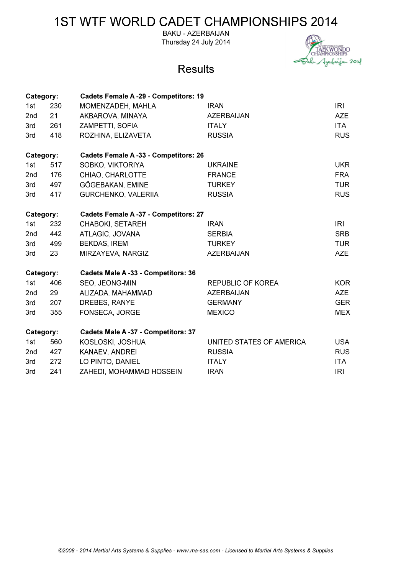**BAKU - AZERBAIJAN** Thursday 24 July 2014



| Category: |     | <b>Cadets Female A -29 - Competitors: 19</b> |                          |            |
|-----------|-----|----------------------------------------------|--------------------------|------------|
| 1st       | 230 | MOMENZADEH, MAHLA                            | <b>IRAN</b>              | <b>IRI</b> |
| 2nd       | 21  | AKBAROVA, MINAYA                             | AZERBAIJAN               | <b>AZE</b> |
| 3rd       | 261 | ZAMPETTI, SOFIA                              | <b>ITALY</b>             | <b>ITA</b> |
| 3rd       | 418 | ROZHINA, ELIZAVETA                           | <b>RUSSIA</b>            | <b>RUS</b> |
| Category: |     | <b>Cadets Female A -33 - Competitors: 26</b> |                          |            |
| 1st       | 517 | SOBKO, VIKTORIYA                             | <b>UKRAINE</b>           | <b>UKR</b> |
| 2nd       | 176 | CHIAO, CHARLOTTE                             | <b>FRANCE</b>            | <b>FRA</b> |
| 3rd       | 497 | GÖGEBAKAN, EMINE                             | <b>TURKEY</b>            | <b>TUR</b> |
| 3rd       | 417 | GURCHENKO, VALERIIA                          | <b>RUSSIA</b>            | <b>RUS</b> |
| Category: |     | <b>Cadets Female A -37 - Competitors: 27</b> |                          |            |
| 1st       | 232 | <b>CHABOKI, SETAREH</b>                      | <b>IRAN</b>              | <b>IRI</b> |
| 2nd       | 442 | ATLAGIC, JOVANA                              | <b>SERBIA</b>            | <b>SRB</b> |
| 3rd       | 499 | <b>BEKDAS, IREM</b>                          | <b>TURKEY</b>            | <b>TUR</b> |
| 3rd       | 23  | MIRZAYEVA, NARGIZ                            | <b>AZERBAIJAN</b>        | <b>AZE</b> |
| Category: |     | Cadets Male A -33 - Competitors: 36          |                          |            |
| 1st       | 406 | SEO, JEONG-MIN                               | <b>REPUBLIC OF KOREA</b> | <b>KOR</b> |
| 2nd       | 29  | ALIZADA, MAHAMMAD                            | <b>AZERBAIJAN</b>        | <b>AZE</b> |
| 3rd       | 207 | DREBES, RANYE                                | <b>GERMANY</b>           | <b>GER</b> |
| 3rd       | 355 | FONSECA, JORGE                               | <b>MEXICO</b>            | <b>MEX</b> |
| Category: |     | Cadets Male A -37 - Competitors: 37          |                          |            |
| 1st       | 560 | KOSLOSKI, JOSHUA                             | UNITED STATES OF AMERICA | <b>USA</b> |
| 2nd       | 427 | KANAEV, ANDREI                               | <b>RUSSIA</b>            | <b>RUS</b> |
| 3rd       | 272 | LO PINTO, DANIEL                             | <b>ITALY</b>             | ITA.       |
| 3rd       | 241 | ZAHEDI, MOHAMMAD HOSSEIN                     | <b>IRAN</b>              | <b>IRI</b> |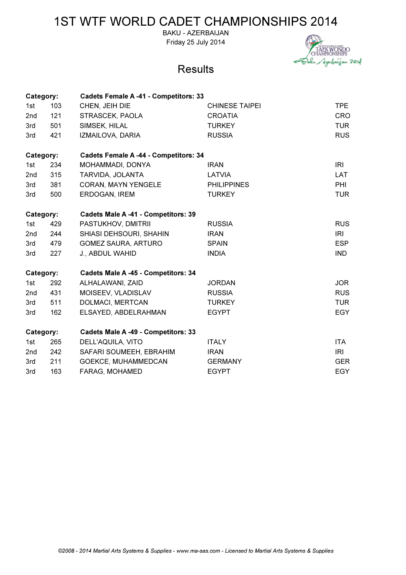BAKU - AZERBAIJAN Friday 25 July 2014



| Category:       |     | <b>Cadets Female A -41 - Competitors: 33</b> |                       |            |  |
|-----------------|-----|----------------------------------------------|-----------------------|------------|--|
| 1st             | 103 | CHEN, JEIH DIE                               | <b>CHINESE TAIPEI</b> | <b>TPE</b> |  |
| 2 <sub>nd</sub> | 121 | STRASCEK, PAOLA                              | <b>CROATIA</b>        | <b>CRO</b> |  |
| 3rd             | 501 | SIMSEK, HILAL                                | <b>TURKEY</b>         | <b>TUR</b> |  |
| 3rd             | 421 | IZMAILOVA, DARIA                             | <b>RUSSIA</b>         | <b>RUS</b> |  |
| Category:       |     | <b>Cadets Female A -44 - Competitors: 34</b> |                       |            |  |
| 1st             | 234 | MOHAMMADI, DONYA                             | <b>IRAN</b>           | <b>IRI</b> |  |
| 2nd             | 315 | TARVIDA, JOLANTA                             | <b>LATVIA</b>         | <b>LAT</b> |  |
| 3rd             | 381 | <b>CORAN, MAYN YENGELE</b>                   | <b>PHILIPPINES</b>    | PHI        |  |
| 3rd             | 500 | ERDOGAN, IREM                                | <b>TURKEY</b>         | <b>TUR</b> |  |
| Category:       |     | Cadets Male A -41 - Competitors: 39          |                       |            |  |
| 1st             | 429 | PASTUKHOV, DMITRII                           | <b>RUSSIA</b>         | <b>RUS</b> |  |
| 2nd             | 244 | SHIASI DEHSOURI, SHAHIN                      | <b>IRAN</b>           | IRI        |  |
| 3rd             | 479 | <b>GOMEZ SAURA, ARTURO</b>                   | <b>SPAIN</b>          | <b>ESP</b> |  |
| 3rd             | 227 | J., ABDUL WAHID                              | <b>INDIA</b>          | <b>IND</b> |  |
| Category:       |     | Cadets Male A -45 - Competitors: 34          |                       |            |  |
| 1st             | 292 | ALHALAWANI, ZAID                             | <b>JORDAN</b>         | <b>JOR</b> |  |
| 2nd             | 431 | MOISEEV, VLADISLAV                           | <b>RUSSIA</b>         | <b>RUS</b> |  |
| 3rd             | 511 | DOLMACI, MERTCAN                             | <b>TURKEY</b>         | <b>TUR</b> |  |
| 3rd             | 162 | ELSAYED, ABDELRAHMAN                         | <b>EGYPT</b>          | <b>EGY</b> |  |
| Category:       |     | Cadets Male A -49 - Competitors: 33          |                       |            |  |
| 1st             | 265 | DELL'AQUILA, VITO                            | <b>ITALY</b>          | <b>ITA</b> |  |
| 2nd             | 242 | SAFARI SOUMEEH, EBRAHIM                      | <b>IRAN</b>           | <b>IRI</b> |  |
| 3rd             | 211 | GOEKCE, MUHAMMEDCAN                          | <b>GERMANY</b>        | <b>GER</b> |  |
| 3rd             | 163 | FARAG, MOHAMED                               | <b>EGYPT</b>          | <b>EGY</b> |  |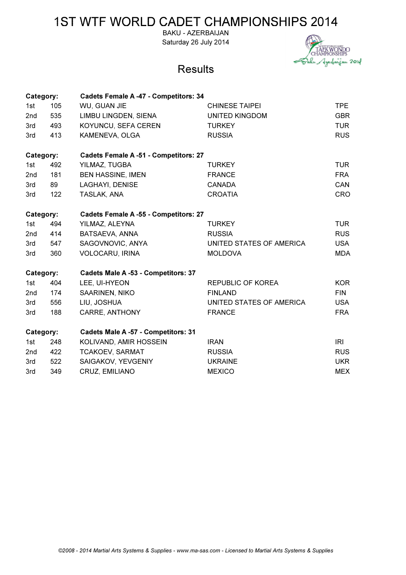BAKU - AZERBAIJAN Saturday 26 July 2014



| Category: |     | <b>Cadets Female A -47 - Competitors: 34</b> |                          |            |  |  |
|-----------|-----|----------------------------------------------|--------------------------|------------|--|--|
| 1st       | 105 | WU, GUAN JIE                                 | <b>CHINESE TAIPEI</b>    | <b>TPE</b> |  |  |
| 2nd       | 535 | LIMBU LINGDEN, SIENA                         | <b>UNITED KINGDOM</b>    | <b>GBR</b> |  |  |
| 3rd       | 493 | KOYUNCU, SEFA CEREN                          | <b>TURKEY</b>            | <b>TUR</b> |  |  |
| 3rd       | 413 | KAMENEVA, OLGA                               | <b>RUSSIA</b>            | <b>RUS</b> |  |  |
| Category: |     | <b>Cadets Female A -51 - Competitors: 27</b> |                          |            |  |  |
| 1st       | 492 | YILMAZ, TUGBA                                | <b>TURKEY</b>            | <b>TUR</b> |  |  |
| 2nd       | 181 | <b>BEN HASSINE, IMEN</b>                     | <b>FRANCE</b>            | <b>FRA</b> |  |  |
| 3rd       | 89  | LAGHAYI, DENISE                              | <b>CANADA</b>            | CAN        |  |  |
| 3rd       | 122 | TASLAK, ANA                                  | <b>CROATIA</b>           | <b>CRO</b> |  |  |
| Category: |     | <b>Cadets Female A -55 - Competitors: 27</b> |                          |            |  |  |
| 1st       | 494 | YILMAZ, ALEYNA                               | <b>TURKEY</b>            | <b>TUR</b> |  |  |
| 2nd       | 414 | BATSAEVA, ANNA                               | <b>RUSSIA</b>            | <b>RUS</b> |  |  |
| 3rd       | 547 | SAGOVNOVIC, ANYA                             | UNITED STATES OF AMERICA | <b>USA</b> |  |  |
| 3rd       | 360 | VOLOCARU, IRINA                              | <b>MOLDOVA</b>           | <b>MDA</b> |  |  |
| Category: |     | Cadets Male A -53 - Competitors: 37          |                          |            |  |  |
| 1st       | 404 | LEE, UI-HYEON                                | <b>REPUBLIC OF KOREA</b> | <b>KOR</b> |  |  |
| 2nd       | 174 | SAARINEN, NIKO                               | <b>FINLAND</b>           | <b>FIN</b> |  |  |
| 3rd       | 556 | LIU, JOSHUA                                  | UNITED STATES OF AMERICA | <b>USA</b> |  |  |
| 3rd       | 188 | <b>CARRE, ANTHONY</b>                        | <b>FRANCE</b>            | <b>FRA</b> |  |  |
| Category: |     | Cadets Male A -57 - Competitors: 31          |                          |            |  |  |
| 1st       | 248 | KOLIVAND, AMIR HOSSEIN                       | <b>IRAN</b>              | IRI        |  |  |
| 2nd       | 422 | <b>TCAKOEV, SARMAT</b>                       | <b>RUSSIA</b>            | <b>RUS</b> |  |  |
| 3rd       | 522 | SAIGAKOV, YEVGENIY                           | <b>UKRAINE</b>           | <b>UKR</b> |  |  |
| 3rd       | 349 | CRUZ, EMILIANO                               | <b>MEXICO</b>            | <b>MEX</b> |  |  |